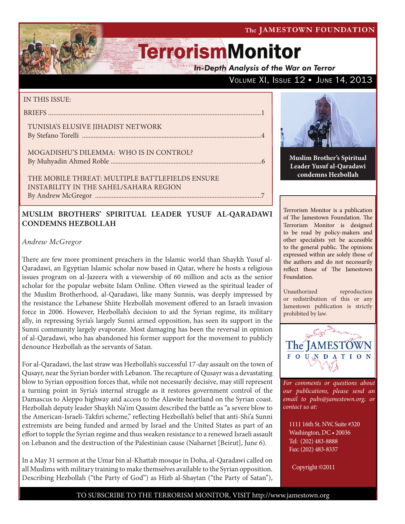VOLUME XI, ISSUE 12 . JUNE 14, 2013

# **TerrorismMonitor**

**In-Depth Analysis of the War on Terror** 

#### IN THIS ISSUE:

Mogadishu's Dilemma: Who Is in Control? by Muhyadin Ahmed Roble ...........................................................................................6

The Mobile Threat: Multiple Battlefields Ensure Instability in the Sahel/Sahara Region By Andrew McGregor ....................................................................................................7

### **MUSLIM BROTHERS' SPIRITUAL LEADER YUSUF AL-QARADAWI CONDEMNS HEZBOLLAH**

*Andrew McGregor*

There are few more prominent preachers in the Islamic world than Shaykh Yusuf al-Qaradawi, an Egyptian Islamic scholar now based in Qatar, where he hosts a religious issues program on al-Jazeera with a viewership of 60 million and acts as the senior scholar for the popular website Islam Online. Often viewed as the spiritual leader of the Muslim Brotherhood, al-Qaradawi, like many Sunnis, was deeply impressed by the resistance the Lebanese Shiite Hezbollah movement offered to an Israeli invasion force in 2006. However, Hezbollah's decision to aid the Syrian regime, its military ally, in repressing Syria's largely Sunni armed opposition, has seen its support in the Sunni community largely evaporate. Most damaging has been the reversal in opinion of al-Qaradawi, who has abandoned his former support for the movement to publicly denounce Hezbollah as the servants of Satan.

For al-Qaradawi, the last straw was Hezbollah's successful 17-day assault on the town of Qusayr, near the Syrian border with Lebanon. The recapture of Qusayr was a devastating blow to Syrian opposition forces that, while not necessarily decisive, may still represent a turning point in Syria's internal struggle as it restores government control of the Damascus to Aleppo highway and access to the Alawite heartland on the Syrian coast. Hezbollah deputy leader Shaykh Na'im Qassim described the battle as "a severe blow to the American-Israeli-Takfiri scheme," reflecting Hezbollah's belief that anti-Shi'a Sunni extremists are being funded and armed by Israel and the United States as part of an effort to topple the Syrian regime and thus weaken resistance to a renewed Israeli assault on Lebanon and the destruction of the Palestinian cause (Naharnet [Beirut], June 6).

In a May 31 sermon at the Umar bin al-Khattab mosque in Doha, al-Qaradawi called on all Muslims with military training to make themselves available to the Syrian opposition. Describing Hezbollah ("the Party of God") as Hizb al-Shaytan ("the Party of Satan"),



**Muslim Brother's Spiritual Leader Yusuf al-Qaradawi condemns Hezbollah**

Terrorism Monitor is a publication of The Jamestown Foundation. The Terrorism Monitor is designed to be read by policy-makers and other specialists yet be accessible to the general public. The opinions expressed within are solely those of the authors and do not necessarily reflect those of The Jamestown Foundation.

Unauthorized reproduction or redistribution of this or any Jamestown publication is strictly prohibited by law.



*For comments or questions about our publications, please send an email to pubs@jamestown.org, or contact us at:* 

1111 16th St. NW, Suite #320 Washington, DC • 20036 Tel: (202) 483-8888 Fax: (202) 483-8337

Copyright ©2011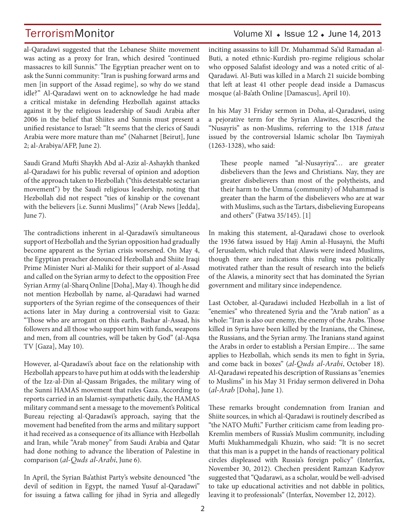al-Qaradawi suggested that the Lebanese Shiite movement was acting as a proxy for Iran, which desired "continued massacres to kill Sunnis." The Egyptian preacher went on to ask the Sunni community: "Iran is pushing forward arms and men [in support of the Assad regime], so why do we stand idle?" Al-Qaradawi went on to acknowledge he had made a critical mistake in defending Hezbollah against attacks against it by the religious leadership of Saudi Arabia after 2006 in the belief that Shiites and Sunnis must present a unified resistance to Israel: "It seems that the clerics of Saudi Arabia were more mature than me" (Naharnet [Beirut], June 2; al-Arabiya/AFP, June 2).

Saudi Grand Mufti Shaykh Abd al-Aziz al-Ashaykh thanked al-Qaradawi for his public reversal of opinion and adoption of the approach taken to Hezbollah ("this detestable sectarian movement") by the Saudi religious leadership, noting that Hezbollah did not respect "ties of kinship or the covenant with the believers [i.e. Sunni Muslims]" (Arab News [Jedda], June 7).

The contradictions inherent in al-Qaradawi's simultaneous support of Hezbollah and the Syrian opposition had gradually become apparent as the Syrian crisis worsened. On May 4, the Egyptian preacher denounced Hezbollah and Shiite Iraqi Prime Minister Nuri al-Maliki for their support of al-Assad and called on the Syrian army to defect to the opposition Free Syrian Army (al-Sharq Online [Doha], May 4). Though he did not mention Hezbollah by name, al-Qaradawi had warned supporters of the Syrian regime of the consequences of their actions later in May during a controversial visit to Gaza: "Those who are arrogant on this earth, Bashar al-Assad, his followers and all those who support him with funds, weapons and men, from all countries, will be taken by God" (al-Aqsa TV [Gaza], May 10).

However, al-Qaradawi's about face on the relationship with Hezbollah appears to have put him at odds with the leadership of the Izz-al-Din al-Qassam Brigades, the military wing of the Sunni HAMAS movement that rules Gaza. According to reports carried in an Islamist-sympathetic daily, the HAMAS military command sent a message to the movement's Political Bureau rejecting al-Qaradawi's approach, saying that the movement had benefited from the arms and military support it had received as a consequence of its alliance with Hezbollah and Iran, while "Arab money" from Saudi Arabia and Qatar had done nothing to advance the liberation of Palestine in comparison (*al-Quds al-Arabi*, June 6).

In April, the Syrian Ba'athist Party's website denounced "the devil of sedition in Egypt, the named Yusuf al-Qaradawi" for issuing a fatwa calling for jihad in Syria and allegedly

### TerrorismMonitor Volume XI + Issue 12 + June 14, 2013

inciting assassins to kill Dr. Muhammad Sa'id Ramadan al-Buti, a noted ethnic-Kurdish pro-regime religious scholar who opposed Salafist ideology and was a noted critic of al-Qaradawi. Al-Buti was killed in a March 21 suicide bombing that left at least 41 other people dead inside a Damascus mosque (al-Ba'ath Online [Damascus], April 10).

In his May 31 Friday sermon in Doha, al-Qaradawi, using a pejorative term for the Syrian Alawites, described the "Nusayris" as non-Muslims, referring to the 1318 *fatwa*  issued by the controversial Islamic scholar Ibn Taymiyah (1263-1328), who said:

These people named "al-Nusayriya"… are greater disbelievers than the Jews and Christians. Nay, they are greater disbelievers than most of the polytheists, and their harm to the Umma (community) of Muhammad is greater than the harm of the disbelievers who are at war with Muslims, such as the Tartars, disbelieving Europeans and others" (Fatwa 35/145). [1]

In making this statement, al-Qaradawi chose to overlook the 1936 fatwa issued by Hajj Amin al-Husayni, the Mufti of Jerusalem, which ruled that Alawis were indeed Muslims, though there are indications this ruling was politically motivated rather than the result of research into the beliefs of the Alawis, a minority sect that has dominated the Syrian government and military since independence.

Last October, al-Qaradawi included Hezbollah in a list of "enemies" who threatened Syria and the "Arab nation" as a whole: "Iran is also our enemy, the enemy of the Arabs. Those killed in Syria have been killed by the Iranians, the Chinese, the Russians, and the Syrian army. The Iranians stand against the Arabs in order to establish a Persian Empire… The same applies to Hezbollah, which sends its men to fight in Syria, and come back in boxes" (*al-Quds al-Arabi*, October 18). Al-Qaradawi repeated his description of Russians as "enemies to Muslims" in his May 31 Friday sermon delivered in Doha (*al-Arab* [Doha], June 1).

These remarks brought condemnation from Iranian and Shiite sources, in which al-Qaradawi is routinely described as "the NATO Mufti." Further criticism came from leading pro-Kremlin members of Russia's Muslim community, including Mufti Mukhammedgali Khuzin, who said: "It is no secret that this man is a puppet in the hands of reactionary political circles displeased with Russia's foreign policy" (Interfax, November 30, 2012). Chechen president Ramzan Kadyrov suggested that "Qadarawi, as a scholar, would be well-advised to take up educational activities and not dabble in politics, leaving it to professionals" (Interfax, November 12, 2012).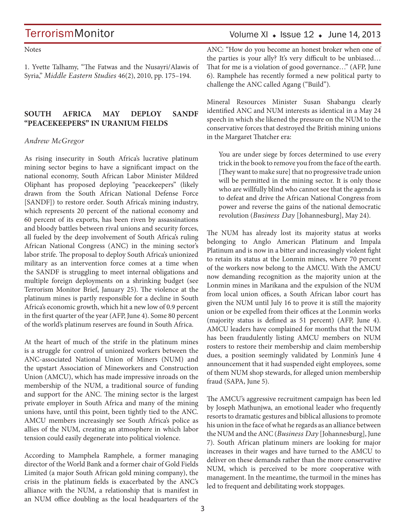#### **Notes**

1. Yvette Talhamy, "The Fatwas and the Nusayri/Alawis of Syria," *Middle Eastern Studies* 46(2), 2010, pp. 175–194.

### **SOUTH AFRICA MAY DEPLOY SANDF "PEACEKEEPERS" IN URANIUM FIELDS**

#### *Andrew McGregor*

As rising insecurity in South Africa's lucrative platinum mining sector begins to have a significant impact on the national economy, South African Labor Minister Mildred Oliphant has proposed deploying "peacekeepers" (likely drawn from the South African National Defense Force [SANDF]) to restore order. South Africa's mining industry, which represents 20 percent of the national economy and 60 percent of its exports, has been riven by assassinations and bloody battles between rival unions and security forces, all fueled by the deep involvement of South Africa's ruling African National Congress (ANC) in the mining sector's labor strife. The proposal to deploy South Africa's unionized military as an intervention force comes at a time when the SANDF is struggling to meet internal obligations and multiple foreign deployments on a shrinking budget (see Terrorism Monitor Brief, January 25). The violence at the platinum mines is partly responsible for a decline in South Africa's economic growth, which hit a new low of 0.9 percent in the first quarter of the year (AFP, June 4). Some 80 percent of the world's platinum reserves are found in South Africa.

At the heart of much of the strife in the platinum mines is a struggle for control of unionized workers between the ANC-associated National Union of Miners (NUM) and the upstart Association of Mineworkers and Construction Union (AMCU), which has made impressive inroads on the membership of the NUM, a traditional source of funding and support for the ANC. The mining sector is the largest private employer in South Africa and many of the mining unions have, until this point, been tightly tied to the ANC. AMCU members increasingly see South Africa's police as allies of the NUM, creating an atmosphere in which labor tension could easily degenerate into political violence.

According to Mamphela Ramphele, a former managing director of the World Bank and a former chair of Gold Fields Limited (a major South African gold mining company), the crisis in the platinum fields is exacerbated by the ANC's alliance with the NUM, a relationship that is manifest in an NUM office doubling as the local headquarters of the

ANC: "How do you become an honest broker when one of the parties is your ally? It's very difficult to be unbiased… That for me is a violation of good governance…" (AFP, June 6). Ramphele has recently formed a new political party to challenge the ANC called Agang ("Build").

Mineral Resources Minister Susan Shabangu clearly identified ANC and NUM interests as identical in a May 24 speech in which she likened the pressure on the NUM to the conservative forces that destroyed the British mining unions in the Margaret Thatcher era:

You are under siege by forces determined to use every trick in the book to remove you from the face of the earth. [They want to make sure] that no progressive trade union will be permitted in the mining sector. It is only those who are willfully blind who cannot see that the agenda is to defeat and drive the African National Congress from power and reverse the gains of the national democratic revolution (*Business Day* [Johannesburg], May 24).

The NUM has already lost its majority status at works belonging to Anglo American Platinum and Impala Platinum and is now in a bitter and increasingly violent fight to retain its status at the Lonmin mines, where 70 percent of the workers now belong to the AMCU. With the AMCU now demanding recognition as the majority union at the Lonmin mines in Marikana and the expulsion of the NUM from local union offices, a South African labor court has given the NUM until July 16 to prove it is still the majority union or be expelled from their offices at the Lonmin works (majority status is defined as 51 percent) (AFP, June 4). AMCU leaders have complained for months that the NUM has been fraudulently listing AMCU members on NUM rosters to restore their membership and claim membership dues, a position seemingly validated by Lonmin's June 4 announcement that it had suspended eight employees, some of them NUM shop stewards, for alleged union membership fraud (SAPA, June 5).

The AMCU's aggressive recruitment campaign has been led by Joseph Mathunjwa, an emotional leader who frequently resorts to dramatic gestures and biblical allusions to promote his union in the face of what he regards as an alliance between the NUM and the ANC (*Business Day* [Johannesburg], June 7). South African platinum miners are looking for major increases in their wages and have turned to the AMCU to deliver on these demands rather than the more conservative NUM, which is perceived to be more cooperative with management. In the meantime, the turmoil in the mines has led to frequent and debilitating work stoppages.

### Volume XI  $\bullet$  Issue 12  $\bullet$  June 14, 2013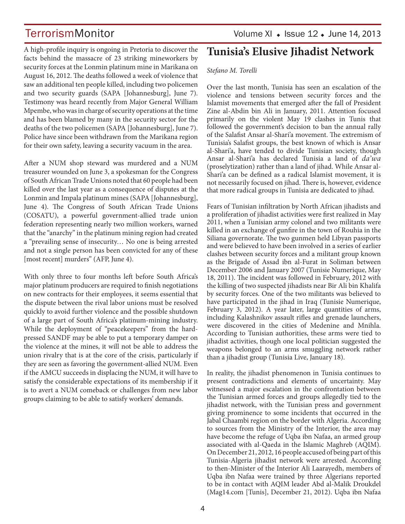A high-profile inquiry is ongoing in Pretoria to discover the facts behind the massacre of 23 striking mineworkers by security forces at the Lonmin platinum mine in Marikana on August 16, 2012. The deaths followed a week of violence that saw an additional ten people killed, including two policemen and two security guards (SAPA [Johannesburg], June 7). Testimony was heard recently from Major General William Mpembe, who was in charge of security operations at the time and has been blamed by many in the security sector for the deaths of the two policemen (SAPA [Johannesburg], June 7). Police have since been withdrawn from the Marikana region for their own safety, leaving a security vacuum in the area.

After a NUM shop steward was murdered and a NUM treasurer wounded on June 3, a spokesman for the Congress of South African Trade Unions noted that 60 people had been killed over the last year as a consequence of disputes at the Lonmin and Impala platinum mines (SAPA [Johannesburg], June 4). The Congress of South African Trade Unions (COSATU), a powerful government-allied trade union federation representing nearly two million workers, warned that the "anarchy" in the platinum mining region had created a "prevailing sense of insecurity… No one is being arrested and not a single person has been convicted for any of these [most recent] murders" (AFP, June 4).

With only three to four months left before South Africa's major platinum producers are required to finish negotiations on new contracts for their employees, it seems essential that the dispute between the rival labor unions must be resolved quickly to avoid further violence and the possible shutdown of a large part of South Africa's platinum-mining industry. While the deployment of "peacekeepers" from the hardpressed SANDF may be able to put a temporary damper on the violence at the mines, it will not be able to address the union rivalry that is at the core of the crisis, particularly if they are seen as favoring the government-allied NUM. Even if the AMCU succeeds in displacing the NUM, it will have to satisfy the considerable expectations of its membership if it is to avert a NUM comeback or challenges from new labor groups claiming to be able to satisfy workers' demands.

### **Tunisia's Elusive Jihadist Network**

#### *Stefano M. Torelli*

Over the last month, Tunisia has seen an escalation of the violence and tensions between security forces and the Islamist movements that emerged after the fall of President Zine al-Abdin bin Ali in January, 2011. Attention focused primarily on the violent May 19 clashes in Tunis that followed the government's decision to ban the annual rally of the Salafist Ansar al-Shari'a movement. The extremism of Tunisia's Salafist groups, the best known of which is Ansar al-Shari'a, have tended to divide Tunisian society, though Ansar al-Shari'a has declared Tunisia a land of *da'wa* (proselytization) rather than a land of jihad. While Ansar al-Shari'a can be defined as a radical Islamist movement, it is not necessarily focused on jihad. There is, however, evidence that more radical groups in Tunisia are dedicated to jihad.

Fears of Tunisian infiltration by North African jihadists and a proliferation of jihadist activities were first realized in May 2011, when a Tunisian army colonel and two militants were killed in an exchange of gunfire in the town of Rouhia in the Siliana governorate. The two gunmen held Libyan passports and were believed to have been involved in a series of earlier clashes between security forces and a militant group known as the Brigade of Assad ibn al-Furat in Soliman between December 2006 and January 2007 (Tunisie Numerique, May 18, 2011). The incident was followed in February, 2012 with the killing of two suspected jihadists near Bir Ali bin Khalifa by security forces. One of the two militants was believed to have participated in the jihad in Iraq (Tunisie Numerique, February 3, 2012). A year later, large quantities of arms, including Kalashnikov assault rifles and grenade launchers, were discovered in the cities of Medenine and Mnihla. According to Tunisian authorities, these arms were tied to jihadist activities, though one local politician suggested the weapons belonged to an arms smuggling network rather than a jihadist group (Tunisia Live, January 18).

In reality, the jihadist phenomenon in Tunisia continues to present contradictions and elements of uncertainty. May witnessed a major escalation in the confrontation between the Tunisian armed forces and groups allegedly tied to the jihadist network, with the Tunisian press and government giving prominence to some incidents that occurred in the Jabal Chaambi region on the border with Algeria. According to sources from the Ministry of the Interior, the area may have become the refuge of Uqba ibn Nafaa, an armed group associated with al-Qaeda in the Islamic Maghreb (AQIM). On December 21, 2012, 16 people accused of being part of this Tunisia-Algeria jihadist network were arrested. According to then-Minister of the Interior Ali Laarayedh, members of Uqba ibn Nafaa were trained by three Algerians reported to be in contact with AQIM leader Abd al-Malik Droukdel (Mag14.com [Tunis], December 21, 2012). Uqba ibn Nafaa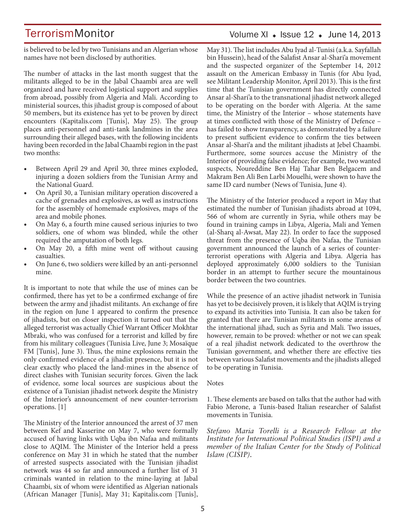is believed to be led by two Tunisians and an Algerian whose names have not been disclosed by authorities.

The number of attacks in the last month suggest that the militants alleged to be in the Jabal Chaambi area are well organized and have received logistical support and supplies from abroad, possibly from Algeria and Mali. According to ministerial sources, this jihadist group is composed of about 50 members, but its existence has yet to be proven by direct encounters (Kapitalis.com [Tunis], May 25). The group places anti-personnel and anti-tank landmines in the area surrounding their alleged bases, with the following incidents having been recorded in the Jabal Chaambi region in the past two months:

- Between April 29 and April 30, three mines exploded, injuring a dozen soldiers from the Tunisian Army and the National Guard.
- On April 30, a Tunisian military operation discovered a cache of grenades and explosives, as well as instructions for the assembly of homemade explosives, maps of the area and mobile phones.
- On May 6, a fourth mine caused serious injuries to two soldiers, one of whom was blinded, while the other required the amputation of both legs.
- On May 20, a fifth mine went off without causing casualties.
- On June 6, two soldiers were killed by an anti-personnel mine.

It is important to note that while the use of mines can be confirmed, there has yet to be a confirmed exchange of fire between the army and jihadist militants. An exchange of fire in the region on June 1 appeared to confirm the presence of jihadists, but on closer inspection it turned out that the alleged terrorist was actually Chief Warrant Officer Mokhtar Mbraki, who was confused for a terrorist and killed by fire from his military colleagues (Tunisia Live, June 3; Mosaïque FM [Tunis], June 3). Thus, the mine explosions remain the only confirmed evidence of a jihadist presence, but it is not clear exactly who placed the land-mines in the absence of direct clashes with Tunisian security forces. Given the lack of evidence, some local sources are suspicious about the existence of a Tunisian jihadist network despite the Ministry of the Interior's announcement of new counter-terrorism operations. [1]

The Ministry of the Interior announced the arrest of 37 men between Kef and Kasserine on May 7, who were formally accused of having links with Uqba ibn Nafaa and militants close to AQIM. The Minister of the Interior held a press conference on May 31 in which he stated that the number of arrested suspects associated with the Tunisian jihadist network was 44 so far and announced a further list of 31 criminals wanted in relation to the mine-laying at Jabal Chaambi, six of whom were identified as Algerian nationals (African Manager [Tunis], May 31; Kapitalis.com [Tunis],

### Volume XI  $\bullet$  Issue 12  $\bullet$  June 14, 2013

May 31). The list includes Abu Iyad al-Tunisi (a.k.a. Sayfallah bin Hussein), head of the Salafist Ansar al-Shari'a movement and the suspected organizer of the September 14, 2012 assault on the American Embassy in Tunis (for Abu Iyad, see Militant Leadership Monitor, April 2013). This is the first time that the Tunisian government has directly connected Ansar al-Shari'a to the transnational jihadist network alleged to be operating on the border with Algeria. At the same time, the Ministry of the Interior – whose statements have at times conflicted with those of the Ministry of Defence – has failed to show transparency, as demonstrated by a failure to present sufficient evidence to confirm the ties between Ansar al-Shari'a and the militant jihadists at Jebel Chaambi. Furthermore, some sources accuse the Ministry of the Interior of providing false evidence; for example, two wanted suspects, Noureddine Ben Haj Tahar Ben Belgacem and Makram Ben Ali Ben Larbi Mouelhi, were shown to have the same ID card number (News of Tunisia, June 4).

The Ministry of the Interior produced a report in May that estimated the number of Tunisian jihadists abroad at 1094, 566 of whom are currently in Syria, while others may be found in training camps in Libya, Algeria, Mali and Yemen (al-Sharq al-Awsat, May 22). In order to face the supposed threat from the presence of Uqba ibn Nafaa, the Tunisian government announced the launch of a series of counterterrorist operations with Algeria and Libya. Algeria has deployed approximately 6,000 soldiers to the Tunisian border in an attempt to further secure the mountainous border between the two countries.

While the presence of an active jihadist network in Tunisia has yet to be decisively proven, it is likely that AQIM is trying to expand its activities into Tunisia. It can also be taken for granted that there are Tunisian militants in some arenas of the international jihad, such as Syria and Mali. Two issues, however, remain to be proved: whether or not we can speak of a real jihadist network dedicated to the overthrow the Tunisian government, and whether there are effective ties between various Salafist movements and the jihadists alleged to be operating in Tunisia.

#### **Notes**

1. These elements are based on talks that the author had with Fabio Merone, a Tunis-based Italian researcher of Salafist movements in Tunisia.

*Stefano Maria Torelli is a Research Fellow at the Institute for International Political Studies (ISPI) and a member of the Italian Center for the Study of Political Islam (CISIP).*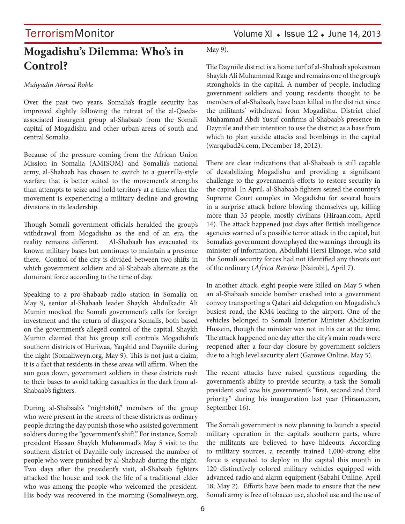## **Mogadishu's Dilemma: Who's in Control?**

#### *Muhyadin Ahmed Roble*

Over the past two years, Somalia's fragile security has improved slightly following the retreat of the al-Qaedaassociated insurgent group al-Shabaab from the Somali capital of Mogadishu and other urban areas of south and central Somalia.

Because of the pressure coming from the African Union Mission in Somalia (AMISOM) and Somalia's national army, al-Shabaab has chosen to switch to a guerrilla-style warfare that is better suited to the movement's strengths than attempts to seize and hold territory at a time when the movement is experiencing a military decline and growing divisions in its leadership.

Though Somali government officials heralded the group's withdrawal from Mogadishu as the end of an era, the reality remains different. Al-Shabaab has evacuated its known military bases but continues to maintain a presence there. Control of the city is divided between two shifts in which government soldiers and al-Shabaab alternate as the dominant force according to the time of day.

Speaking to a pro-Shabaab radio station in Somalia on May 9, senior al-Shabaab leader Shaykh Abdulkadir Ali Mumin mocked the Somali government's calls for foreign investment and the return of diaspora Somalis, both based on the government's alleged control of the capital. Shaykh Mumin claimed that his group still controls Mogadishu's southern districts of Huriwaa, Yaqshid and Dayniile during the night (Somaliweyn.org, May 9). This is not just a claim; it is a fact that residents in these areas will affirm. When the sun goes down, government soldiers in these districts rush to their bases to avoid taking casualties in the dark from al-Shabaab's fighters.

During al-Shabaab's "nightshift," members of the group who were present in the streets of these districts as ordinary people during the day punish those who assisted government soldiers during the "government's shift." For instance, Somali president Hassan Shaykh Muhammad's May 5 visit to the southern district of Dayniile only increased the number of people who were punished by al-Shabaab during the night. Two days after the president's visit, al-Shabaab fighters attacked the house and took the life of a traditional elder who was among the people who welcomed the president. His body was recovered in the morning (Somaliweyn.org,

May 9).

The Dayniile district is a home turf of al-Shabaab spokesman Shaykh Ali Muhammad Raage and remains one of the group's strongholds in the capital. A number of people, including government soldiers and young residents thought to be members of al-Shabaab, have been killed in the district since the militants' withdrawal from Mogadishu. District chief Muhammad Abdi Yusuf confirms al-Shabaab's presence in Dayniile and their intention to use the district as a base from which to plan suicide attacks and bombings in the capital (warqabad24.com, December 18, 2012).

There are clear indications that al-Shabaab is still capable of destabilizing Mogadishu and providing a significant challenge to the government's efforts to restore security in the capital. In April, al-Shabaab fighters seized the country's Supreme Court complex in Mogadishu for several hours in a surprise attack before blowing themselves up, killing more than 35 people, mostly civilians (Hiraan.com, April 14). The attack happened just days after British intelligence agencies warned of a possible terror attack in the capital, but Somalia's government downplayed the warnings through its minister of information, Abdullahi Hersi Elmoge, who said the Somali security forces had not identified any threats out of the ordinary (*Africa Review* [Nairobi], April 7).

In another attack, eight people were killed on May 5 when an al-Shabaab suicide bomber crashed into a government convoy transporting a Qatari aid delegation on Mogadishu's busiest road, the KM4 leading to the airport. One of the vehicles belonged to Somali Interior Minister Abdikarim Hussein, though the minister was not in his car at the time. The attack happened one day after the city's main roads were reopened after a four-day closure by government soldiers due to a high level security alert (Garowe Online, May 5).

The recent attacks have raised questions regarding the government's ability to provide security, a task the Somali president said was his government's "first, second and third priority" during his inauguration last year (Hiraan.com, September 16).

The Somali government is now planning to launch a special military operation in the capital's southern parts, where the militants are believed to have hideouts. According to military sources, a recently trained 1,000-strong elite force is expected to deploy in the capital this month in 120 distinctively colored military vehicles equipped with advanced radio and alarm equipment (Sabahi Online, April 18; May 2). Efforts have been made to ensure that the new Somali army is free of tobacco use, alcohol use and the use of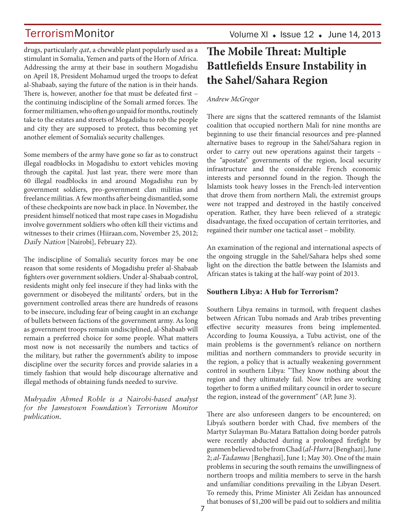drugs, particularly *qat*, a chewable plant popularly used as a stimulant in Somalia, Yemen and parts of the Horn of Africa. Addressing the army at their base in southern Mogadishu on April 18, President Mohamud urged the troops to defeat al-Shabaab, saying the future of the nation is in their hands. There is, however, another foe that must be defeated first – the continuing indiscipline of the Somali armed forces. The former militiamen, who often go unpaid for months, routinely take to the estates and streets of Mogadishu to rob the people and city they are supposed to protect, thus becoming yet another element of Somalia's security challenges.

Some members of the army have gone so far as to construct illegal roadblocks in Mogadishu to extort vehicles moving through the capital. Just last year, there were more than 60 illegal roadblocks in and around Mogadishu run by government soldiers, pro-government clan militias and freelance militias. A few months after being dismantled, some of these checkpoints are now back in place. In November, the president himself noticed that most rape cases in Mogadishu involve government soldiers who often kill their victims and witnesses to their crimes (Hiiraan.com, November 25, 2012; *Daily Nation* [Nairobi], February 22).

The indiscipline of Somalia's security forces may be one reason that some residents of Mogadishu prefer al-Shabaab fighters over government soldiers. Under al-Shabaab control, residents might only feel insecure if they had links with the government or disobeyed the militants' orders, but in the government controlled areas there are hundreds of reasons to be insecure, including fear of being caught in an exchange of bullets between factions of the government army. As long as government troops remain undisciplined, al-Shabaab will remain a preferred choice for some people. What matters most now is not necessarily the numbers and tactics of the military, but rather the government's ability to impose discipline over the security forces and provide salaries in a timely fashion that would help discourage alternative and illegal methods of obtaining funds needed to survive.

*Muhyadin Ahmed Roble is a Nairobi-based analyst for the Jamestown Foundation's Terrorism Monitor publication.*

## **The Mobile Threat: Multiple Battlefields Ensure Instability in the Sahel/Sahara Region**

#### *Andrew McGregor*

There are signs that the scattered remnants of the Islamist coalition that occupied northern Mali for nine months are beginning to use their financial resources and pre-planned alternative bases to regroup in the Sahel/Sahara region in order to carry out new operations against their targets – the "apostate" governments of the region, local security infrastructure and the considerable French economic interests and personnel found in the region. Though the Islamists took heavy losses in the French-led intervention that drove them from northern Mali, the extremist groups were not trapped and destroyed in the hastily conceived operation. Rather, they have been relieved of a strategic disadvantage, the fixed occupation of certain territories, and regained their number one tactical asset – mobility.

An examination of the regional and international aspects of the ongoing struggle in the Sahel/Sahara helps shed some light on the direction the battle between the Islamists and African states is taking at the half-way point of 2013.

### **Southern Libya: A Hub for Terrorism?**

Southern Libya remains in turmoil, with frequent clashes between African Tubu nomads and Arab tribes preventing effective security measures from being implemented. According to Jouma Koussiya, a Tubu activist, one of the main problems is the government's reliance on northern militias and northern commanders to provide security in the region, a policy that is actually weakening government control in southern Libya: "They know nothing about the region and they ultimately fail. Now tribes are working together to form a unified military council in order to secure the region, instead of the government" (AP, June 3).

There are also unforeseen dangers to be encountered; on Libya's southern border with Chad, five members of the Martyr Sulayman Bu-Matara Battalion doing border patrols were recently abducted during a prolonged firefight by gunmen believed to be from Chad (*al-Hurra* [Benghazi], June 2; *al-Tadamus* [Benghazi], June 1; May 30). One of the main problems in securing the south remains the unwillingness of northern troops and militia members to serve in the harsh and unfamiliar conditions prevailing in the Libyan Desert. To remedy this, Prime Minister Ali Zeidan has announced that bonuses of \$1,200 will be paid out to soldiers and militia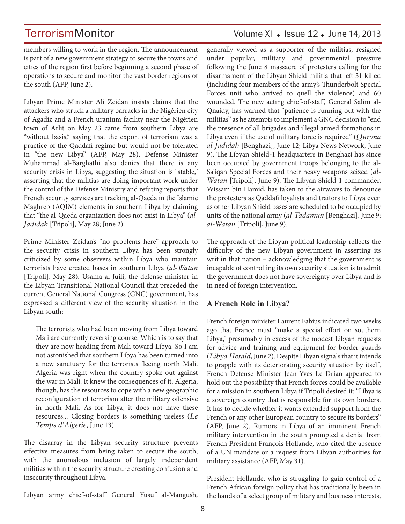### TerrorismMonitor Volume XI + Issue 12 + June 14, 2013

members willing to work in the region. The announcement is part of a new government strategy to secure the towns and cities of the region first before beginning a second phase of operations to secure and monitor the vast border regions of the south (AFP, June 2).

Libyan Prime Minister Ali Zeidan insists claims that the attackers who struck a military barracks in the Nigérien city of Agadiz and a French uranium facility near the Nigérien town of Arlit on May 23 came from southern Libya are "without basis," saying that the export of terrorism was a practice of the Qaddafi regime but would not be tolerated in "the new Libya" (AFP, May 28). Defense Minister Muhammad al-Barghathi also denies that there is any security crisis in Libya, suggesting the situation is "stable," asserting that the militias are doing important work under the control of the Defense Ministry and refuting reports that French security services are tracking al-Qaeda in the Islamic Maghreb (AQIM) elements in southern Libya by claiming that "the al-Qaeda organization does not exist in Libya" (*al-Jadidah* [Tripoli], May 28; June 2).

Prime Minister Zeidan's "no problems here" approach to the security crisis in southern Libya has been strongly criticized by some observers within Libya who maintain terrorists have created bases in southern Libya (*al-Watan*  [Tripoli], May 28). Usama al-Juili, the defense minister in the Libyan Transitional National Council that preceded the current General National Congress (GNC) government, has expressed a different view of the security situation in the Libyan south:

The terrorists who had been moving from Libya toward Mali are currently reversing course. Which is to say that they are now heading from Mali toward Libya. So I am not astonished that southern Libya has been turned into a new sanctuary for the terrorists fleeing north Mali. Algeria was right when the country spoke out against the war in Mali. It knew the consequences of it. Algeria, though, has the resources to cope with a new geographic reconfiguration of terrorism after the military offensive in north Mali. As for Libya, it does not have these resources... Closing borders is something useless (*Le Temps d'Algerie*, June 13).

The disarray in the Libyan security structure prevents effective measures from being taken to secure the south, with the anomalous inclusion of largely independent militias within the security structure creating confusion and insecurity throughout Libya.

Libyan army chief-of-staff General Yusuf al-Mangush,

generally viewed as a supporter of the militias, resigned under popular, military and governmental pressure following the June 8 massacre of protesters calling for the disarmament of the Libyan Shield militia that left 31 killed (including four members of the army's Thunderbolt Special Forces unit who arrived to quell the violence) and 60 wounded. The new acting chief-of-staff, General Salim al-Qnaidy, has warned that "patience is running out with the militias" as he attempts to implement a GNC decision to "end the presence of all brigades and illegal armed formations in Libya even if the use of military force is required" (*Quryna al-Jadidah* [Benghazi], June 12; Libya News Network, June 9). The Libyan Shield-1 headquarters in Benghazi has since been occupied by government troops belonging to the al-Sa'iqah Special Forces and their heavy weapons seized (*al-Watan* [Tripoli], June 9). The Libyan Shield-1 commander, Wissam bin Hamid, has taken to the airwaves to denounce the protesters as Qaddafi loyalists and traitors to Libya even as other Libyan Shield bases are scheduled to be occupied by units of the national army (*al-Tadamun* [Benghazi], June 9; *al-Watan* [Tripoli], June 9).

The approach of the Libyan political leadership reflects the difficulty of the new Libyan government in asserting its writ in that nation – acknowledging that the government is incapable of controlling its own security situation is to admit the government does not have sovereignty over Libya and is in need of foreign intervention.

### **A French Role in Libya?**

French foreign minister Laurent Fabius indicated two weeks ago that France must "make a special effort on southern Libya," presumably in excess of the modest Libyan requests for advice and training and equipment for border guards (*Libya Herald*, June 2). Despite Libyan signals that it intends to grapple with its deteriorating security situation by itself, French Defense Minister Jean-Yves Le Drian appeared to hold out the possibility that French forces could be available for a mission in southern Libya if Tripoli desired it: "Libya is a sovereign country that is responsible for its own borders. It has to decide whether it wants extended support from the French or any other European country to secure its borders" (AFP, June 2). Rumors in Libya of an imminent French military intervention in the south prompted a denial from French President François Hollande, who cited the absence of a UN mandate or a request from Libyan authorities for military assistance (AFP, May 31).

President Hollande, who is struggling to gain control of a French African foreign policy that has traditionally been in the hands of a select group of military and business interests,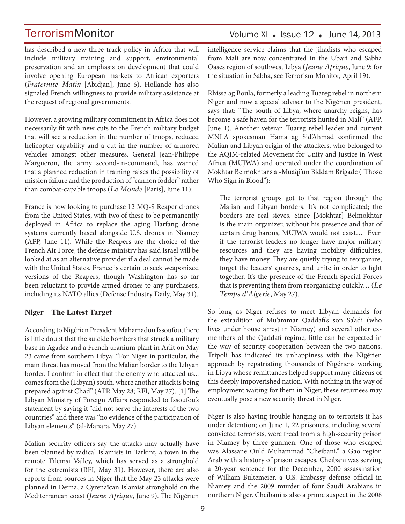### Volume XI  $\bullet$  Issue 12  $\bullet$  June 14, 2013

has described a new three-track policy in Africa that will include military training and support, environmental preservation and an emphasis on development that could involve opening European markets to African exporters (*Fraternite Matin* [Abidjan], June 6). Hollande has also signaled French willingness to provide military assistance at the request of regional governments.

However, a growing military commitment in Africa does not necessarily fit with new cuts to the French military budget that will see a reduction in the number of troops, reduced helicopter capability and a cut in the number of armored vehicles amongst other measures. General Jean-Philippe Margueron, the army second-in-command, has warned that a planned reduction in training raises the possibility of mission failure and the production of "cannon fodder" rather than combat-capable troops (*Le Monde* [Paris], June 11).

France is now looking to purchase 12 MQ-9 Reaper drones from the United States, with two of these to be permanently deployed in Africa to replace the aging Harfang drone systems currently based alongside U.S. drones in Niamey (AFP, June 11). While the Reapers are the choice of the French Air Force, the defense ministry has said Israel will be looked at as an alternative provider if a deal cannot be made with the United States. France is certain to seek weaponized versions of the Reapers, though Washington has so far been reluctant to provide armed drones to any purchasers, including its NATO allies (Defense Industry Daily, May 31).

### **Niger – The Latest Target**

According to Nigérien President Mahamadou Issoufou, there is little doubt that the suicide bombers that struck a military base in Agadez and a French uranium plant in Arlit on May 23 came from southern Libya: "For Niger in particular, the main threat has moved from the Malian border to the Libyan border. I confirm in effect that the enemy who attacked us... comes from the (Libyan) south, where another attack is being prepared against Chad" (AFP, May 28; RFI, May 27). [1] The Libyan Ministry of Foreign Affairs responded to Issoufou's statement by saying it "did not serve the interests of the two countries" and there was "no evidence of the participation of Libyan elements" (al-Manara, May 27).

Malian security officers say the attacks may actually have been planned by radical Islamists in Tarkint, a town in the remote Tilemsi Valley, which has served as a stronghold for the extremists (RFI, May 31). However, there are also reports from sources in Niger that the May 23 attacks were planned in Derna, a Cyrenaïcan Islamist stronghold on the Mediterranean coast (*Jeune Afrique*, June 9). The Nigérien intelligence service claims that the jihadists who escaped from Mali are now concentrated in the Ubari and Sabha Oases region of southwest Libya (*Jeune Afrique*, June 9; for the situation in Sabha, see Terrorism Monitor, April 19).

Rhissa ag Boula, formerly a leading Tuareg rebel in northern Niger and now a special adviser to the Nigérien president, says that: "The south of Libya, where anarchy reigns, has become a safe haven for the terrorists hunted in Mali" (AFP, June 1). Another veteran Tuareg rebel leader and current MNLA spokesman Hama ag Sid'Ahmad confirmed the Malian and Libyan origin of the attackers, who belonged to the AQIM-related Movement for Unity and Justice in West Africa (MUJWA) and operated under the coordination of Mokhtar Belmokhtar's al-Mua'qi'un Biddam Brigade ("Those Who Sign in Blood"):

The terrorist groups got to that region through the Malian and Libyan borders. It's not complicated; the borders are real sieves. Since [Mokhtar] Belmokhtar is the main organizer, without his presence and that of certain drug barons, MUJWA would not exist… Even if the terrorist leaders no longer have major military resources and they are having mobility difficulties, they have money. They are quietly trying to reorganize, forget the leaders' quarrels, and unite in order to fight together. It's the presence of the French Special Forces that is preventing them from reorganizing quickly… (*Le Temps.d'Algerie*, May 27).

So long as Niger refuses to meet Libyan demands for the extradition of Mu'ammar Qaddafi's son Sa'adi (who lives under house arrest in Niamey) and several other exmembers of the Qaddafi regime, little can be expected in the way of security cooperation between the two nations. Tripoli has indicated its unhappiness with the Nigérien approach by repatriating thousands of Nigériens working in Libya whose remittances helped support many citizens of this deeply impoverished nation. With nothing in the way of employment waiting for them in Niger, these returnees may eventually pose a new security threat in Niger.

Niger is also having trouble hanging on to terrorists it has under detention; on June 1, 22 prisoners, including several convicted terrorists, were freed from a high-security prison in Niamey by three gunmen. One of those who escaped was Alassane Ould Muhammad "Cheibani," a Gao region Arab with a history of prison escapes. Cheibani was serving a 20-year sentence for the December, 2000 assassination of William Bultemeier, a U.S. Embassy defense official in Niamey and the 2009 murder of four Saudi Arabians in northern Niger. Cheibani is also a prime suspect in the 2008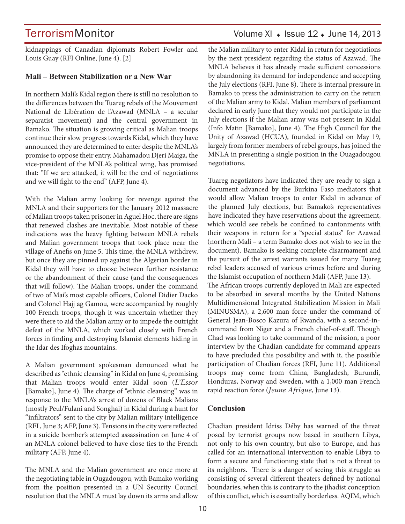kidnappings of Canadian diplomats Robert Fowler and Louis Guay (RFI Online, June 4). [2]

#### **Mali – Between Stabilization or a New War**

In northern Mali's Kidal region there is still no resolution to the differences between the Tuareg rebels of the Mouvement National de Libération de l'Azawad (MNLA – a secular separatist movement) and the central government in Bamako. The situation is growing critical as Malian troops continue their slow progress towards Kidal, which they have announced they are determined to enter despite the MNLA's promise to oppose their entry. Mahamadou Djeri Maiga, the vice-president of the MNLA's political wing, has promised that: "If we are attacked, it will be the end of negotiations and we will fight to the end" (AFP, June 4).

With the Malian army looking for revenge against the MNLA and their supporters for the January 2012 massacre of Malian troops taken prisoner in Aguel Hoc, there are signs that renewed clashes are inevitable. Most notable of these indications was the heavy fighting between MNLA rebels and Malian government troops that took place near the village of Anefis on June 5. This time, the MNLA withdrew, but once they are pinned up against the Algerian border in Kidal they will have to choose between further resistance or the abandonment of their cause (and the consequences that will follow). The Malian troops, under the command of two of Mai's most capable officers, Colonel Didier Dacko and Colonel Hajj ag Gamou, were accompanied by roughly 100 French troops, though it was uncertain whether they were there to aid the Malian army or to impede the outright defeat of the MNLA, which worked closely with French forces in finding and destroying Islamist elements hiding in the Idar des Ifoghas mountains.

A Malian government spokesman denounced what he described as "ethnic cleansing" in Kidal on June 4, promising that Malian troops would enter Kidal soon (*L'Essor* [Bamako], June 4). The charge of "ethnic cleansing" was in response to the MNLA's arrest of dozens of Black Malians (mostly Peul/Fulani and Songhai) in Kidal during a hunt for "infiltrators" sent to the city by Malian military intelligence (RFI , June 3; AFP, June 3). Tensions in the city were reflected in a suicide bomber's attempted assassination on June 4 of an MNLA colonel believed to have close ties to the French military (AFP, June 4).

The MNLA and the Malian government are once more at the negotiating table in Ougadougou, with Bamako working from the position presented in a UN Security Council resolution that the MNLA must lay down its arms and allow

### 10

### TerrorismMonitor Volume XI + Issue 12 + June 14, 2013

the Malian military to enter Kidal in return for negotiations by the next president regarding the status of Azawad. The MNLA believes it has already made sufficient concessions by abandoning its demand for independence and accepting the July elections (RFI, June 8). There is internal pressure in Bamako to press the administration to carry on the return of the Malian army to Kidal. Malian members of parliament declared in early June that they would not participate in the July elections if the Malian army was not present in Kidal (Info Matin [Bamako], June 4). The High Council for the Unity of Azawad (HCUA), founded in Kidal on May 19, largely from former members of rebel groups, has joined the MNLA in presenting a single position in the Ouagadougou negotiations.

Tuareg negotiators have indicated they are ready to sign a document advanced by the Burkina Faso mediators that would allow Malian troops to enter Kidal in advance of the planned July elections, but Bamako's representatives have indicated they have reservations about the agreement, which would see rebels be confined to cantonments with their weapons in return for a "special status" for Azawad (northern Mali – a term Bamako does not wish to see in the document). Bamako is seeking complete disarmament and the pursuit of the arrest warrants issued for many Tuareg rebel leaders accused of various crimes before and during the Islamist occupation of northern Mali (AFP, June 13).

The African troops currently deployed in Mali are expected to be absorbed in several months by the United Nations Multidimensional Integrated Stabilization Mission in Mali (MINUSMA), a 2,600 man force under the command of General Jean-Bosco Kazura of Rwanda, with a second-incommand from Niger and a French chief-of-staff. Though Chad was looking to take command of the mission, a poor interview by the Chadian candidate for command appears to have precluded this possibility and with it, the possible participation of Chadian forces (RFI, June 11). Additional troops may come from China, Bangladesh, Burundi, Honduras, Norway and Sweden, with a 1,000 man French rapid reaction force (*Jeune Afrique*, June 13).

### **Conclusion**

Chadian president Idriss Déby has warned of the threat posed by terrorist groups now based in southern Libya, not only to his own country, but also to Europe, and has called for an international intervention to enable Libya to form a secure and functioning state that is not a threat to its neighbors. There is a danger of seeing this struggle as consisting of several different theaters defined by national boundaries, when this is contrary to the jihadist conception of this conflict, which is essentially borderless. AQIM, which